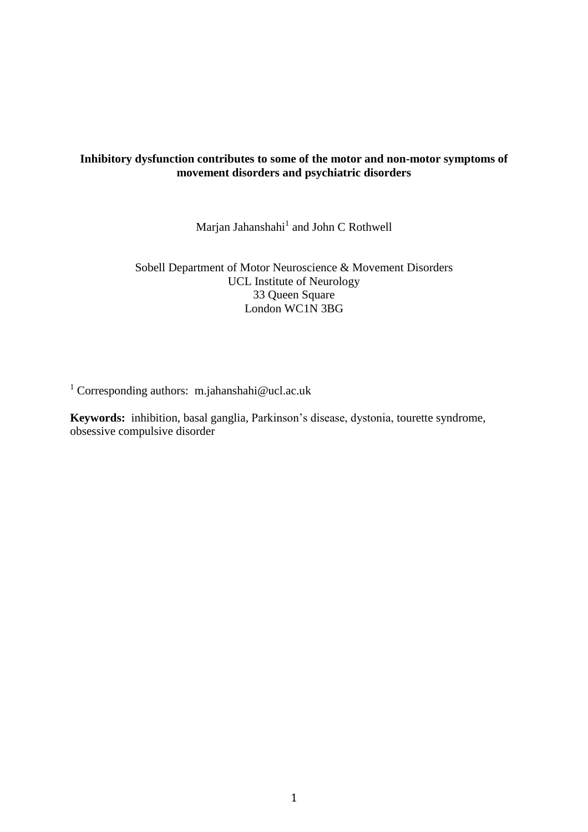# **Inhibitory dysfunction contributes to some of the motor and non-motor symptoms of movement disorders and psychiatric disorders**

Marjan Jahanshahi<sup>1</sup> and John C Rothwell

Sobell Department of Motor Neuroscience & Movement Disorders UCL Institute of Neurology 33 Queen Square London WC1N 3BG

<sup>1</sup> Corresponding authors: m.jahanshahi@ucl.ac.uk

**Keywords:** inhibition, basal ganglia, Parkinson's disease, dystonia, tourette syndrome, obsessive compulsive disorder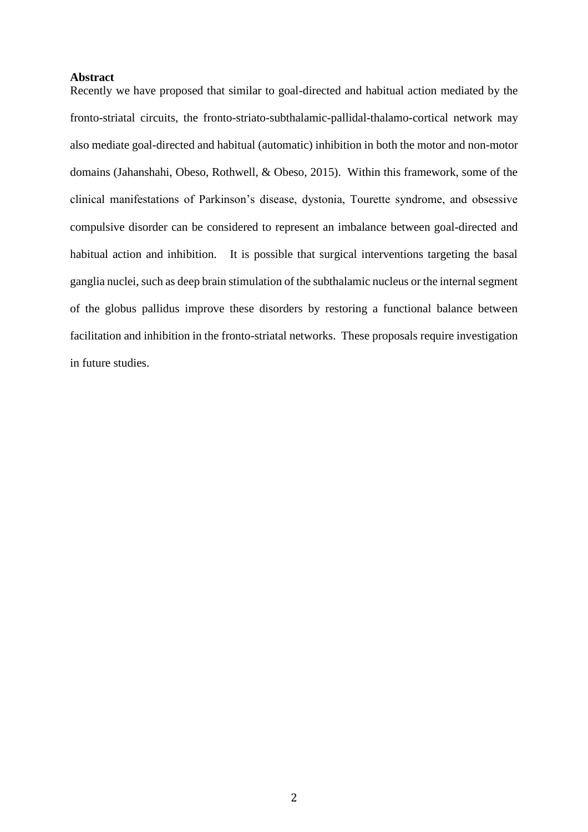#### **Abstract**

Recently we have proposed that similar to goal-directed and habitual action mediated by the fronto-striatal circuits, the fronto-striato-subthalamic-pallidal-thalamo-cortical network may also mediate goal-directed and habitual (automatic) inhibition in both the motor and non-motor domains (Jahanshahi, Obeso, Rothwell, & Obeso, 2015). Within this framework, some of the clinical manifestations of Parkinson's disease, dystonia, Tourette syndrome, and obsessive compulsive disorder can be considered to represent an imbalance between goal-directed and habitual action and inhibition. It is possible that surgical interventions targeting the basal ganglia nuclei, such as deep brain stimulation of the subthalamic nucleus or the internal segment of the globus pallidus improve these disorders by restoring a functional balance between facilitation and inhibition in the fronto-striatal networks. These proposals require investigation in future studies.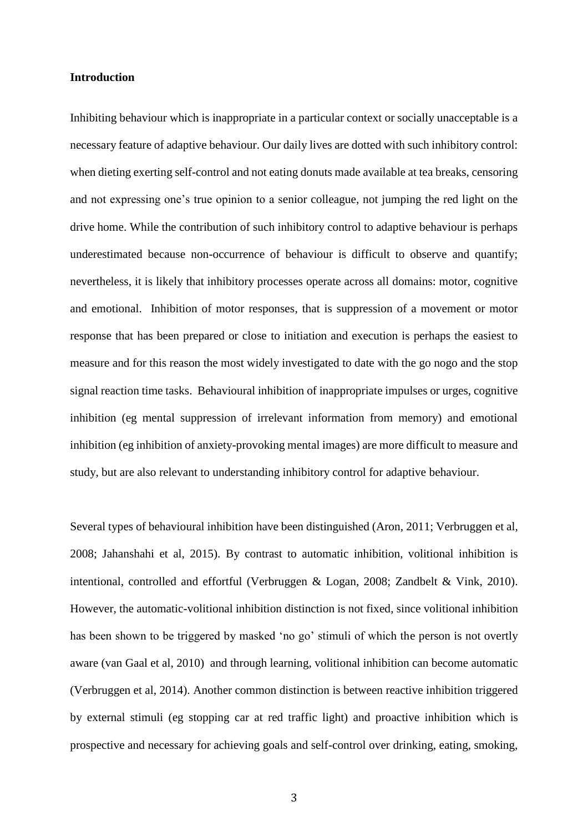#### **Introduction**

Inhibiting behaviour which is inappropriate in a particular context or socially unacceptable is a necessary feature of adaptive behaviour. Our daily lives are dotted with such inhibitory control: when dieting exerting self-control and not eating donuts made available at tea breaks, censoring and not expressing one's true opinion to a senior colleague, not jumping the red light on the drive home. While the contribution of such inhibitory control to adaptive behaviour is perhaps underestimated because non-occurrence of behaviour is difficult to observe and quantify; nevertheless, it is likely that inhibitory processes operate across all domains: motor, cognitive and emotional. Inhibition of motor responses, that is suppression of a movement or motor response that has been prepared or close to initiation and execution is perhaps the easiest to measure and for this reason the most widely investigated to date with the go nogo and the stop signal reaction time tasks. Behavioural inhibition of inappropriate impulses or urges, cognitive inhibition (eg mental suppression of irrelevant information from memory) and emotional inhibition (eg inhibition of anxiety-provoking mental images) are more difficult to measure and study, but are also relevant to understanding inhibitory control for adaptive behaviour.

Several types of behavioural inhibition have been distinguished (Aron, 2011; Verbruggen et al, 2008; Jahanshahi et al, 2015). By contrast to automatic inhibition, volitional inhibition is intentional, controlled and effortful (Verbruggen & Logan, 2008; Zandbelt & Vink, 2010). However, the automatic-volitional inhibition distinction is not fixed, since volitional inhibition has been shown to be triggered by masked 'no go' stimuli of which the person is not overtly aware (van Gaal et al, 2010) and through learning, volitional inhibition can become automatic (Verbruggen et al, 2014). Another common distinction is between reactive inhibition triggered by external stimuli (eg stopping car at red traffic light) and proactive inhibition which is prospective and necessary for achieving goals and self-control over drinking, eating, smoking,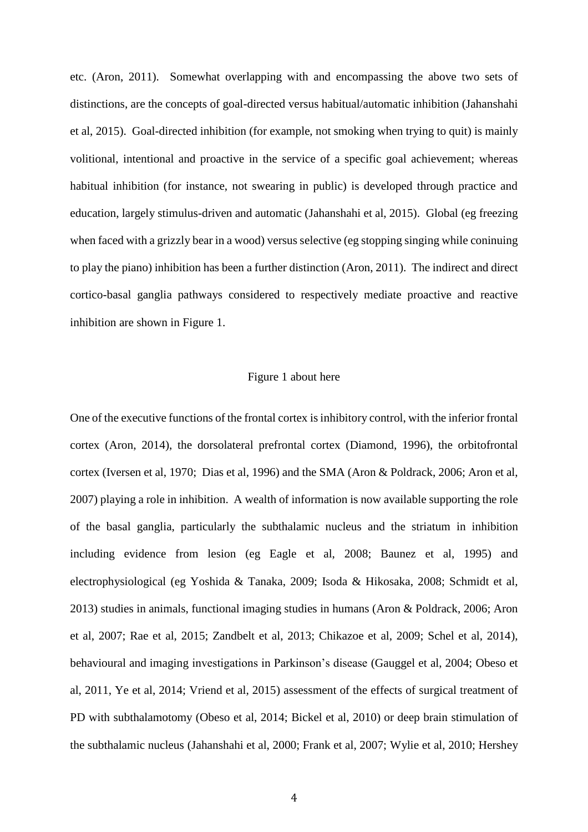etc. (Aron, 2011). Somewhat overlapping with and encompassing the above two sets of distinctions, are the concepts of goal-directed versus habitual/automatic inhibition (Jahanshahi et al, 2015). Goal-directed inhibition (for example, not smoking when trying to quit) is mainly volitional, intentional and proactive in the service of a specific goal achievement; whereas habitual inhibition (for instance, not swearing in public) is developed through practice and education, largely stimulus-driven and automatic (Jahanshahi et al, 2015). Global (eg freezing when faced with a grizzly bear in a wood) versus selective (eg stopping singing while coninuing to play the piano) inhibition has been a further distinction (Aron, 2011). The indirect and direct cortico-basal ganglia pathways considered to respectively mediate proactive and reactive inhibition are shown in Figure 1.

#### Figure 1 about here

One of the executive functions of the frontal cortex is inhibitory control, with the inferior frontal cortex (Aron, 2014), the dorsolateral prefrontal cortex (Diamond, 1996), the orbitofrontal cortex (Iversen et al, 1970; Dias et al, 1996) and the SMA (Aron & Poldrack, 2006; Aron et al, 2007) playing a role in inhibition. A wealth of information is now available supporting the role of the basal ganglia, particularly the subthalamic nucleus and the striatum in inhibition including evidence from lesion (eg Eagle et al, 2008; Baunez et al, 1995) and electrophysiological (eg Yoshida & Tanaka, 2009; Isoda & Hikosaka, 2008; Schmidt et al, 2013) studies in animals, functional imaging studies in humans (Aron & Poldrack, 2006; Aron et al, 2007; Rae et al, 2015; Zandbelt et al, 2013; Chikazoe et al, 2009; Schel et al, 2014), behavioural and imaging investigations in Parkinson's disease (Gauggel et al, 2004; Obeso et al, 2011, Ye et al, 2014; Vriend et al, 2015) assessment of the effects of surgical treatment of PD with subthalamotomy (Obeso et al, 2014; Bickel et al, 2010) or deep brain stimulation of the subthalamic nucleus (Jahanshahi et al, 2000; Frank et al, 2007; Wylie et al, 2010; Hershey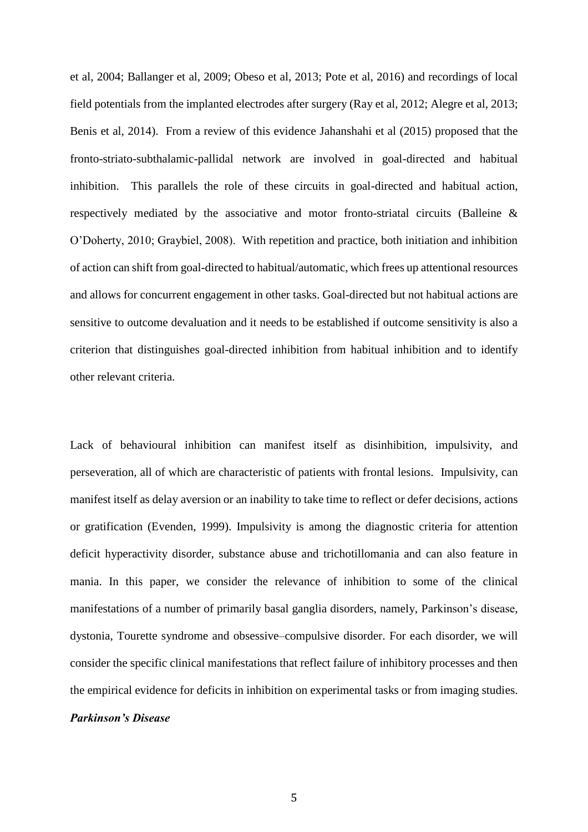et al, 2004; Ballanger et al, 2009; Obeso et al, 2013; Pote et al, 2016) and recordings of local field potentials from the implanted electrodes after surgery (Ray et al, 2012; Alegre et al, 2013; Benis et al, 2014). From a review of this evidence Jahanshahi et al (2015) proposed that the fronto-striato-subthalamic-pallidal network are involved in goal-directed and habitual inhibition. This parallels the role of these circuits in goal-directed and habitual action, respectively mediated by the associative and motor fronto-striatal circuits (Balleine & O'Doherty, 2010; Graybiel, 2008). With repetition and practice, both initiation and inhibition of action can shift from goal-directed to habitual/automatic, which frees up attentional resources and allows for concurrent engagement in other tasks. Goal-directed but not habitual actions are sensitive to outcome devaluation and it needs to be established if outcome sensitivity is also a criterion that distinguishes goal-directed inhibition from habitual inhibition and to identify other relevant criteria.

Lack of behavioural inhibition can manifest itself as disinhibition, impulsivity, and perseveration, all of which are characteristic of patients with frontal lesions. Impulsivity, can manifest itself as delay aversion or an inability to take time to reflect or defer decisions, actions or gratification (Evenden, 1999). Impulsivity is among the diagnostic criteria for attention deficit hyperactivity disorder, substance abuse and trichotillomania and can also feature in mania. In this paper, we consider the relevance of inhibition to some of the clinical manifestations of a number of primarily basal ganglia disorders, namely, Parkinson's disease, dystonia, Tourette syndrome and obsessive–compulsive disorder. For each disorder, we will consider the specific clinical manifestations that reflect failure of inhibitory processes and then the empirical evidence for deficits in inhibition on experimental tasks or from imaging studies.

### *Parkinson's Disease*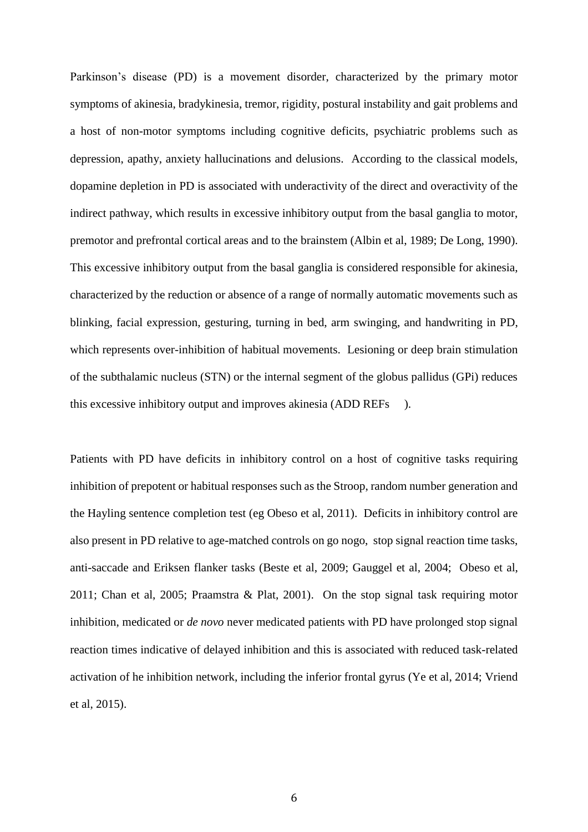Parkinson's disease (PD) is a movement disorder, characterized by the primary motor symptoms of akinesia, bradykinesia, tremor, rigidity, postural instability and gait problems and a host of non-motor symptoms including cognitive deficits, psychiatric problems such as depression, apathy, anxiety hallucinations and delusions. According to the classical models, dopamine depletion in PD is associated with underactivity of the direct and overactivity of the indirect pathway, which results in excessive inhibitory output from the basal ganglia to motor, premotor and prefrontal cortical areas and to the brainstem (Albin et al, 1989; De Long, 1990). This excessive inhibitory output from the basal ganglia is considered responsible for akinesia, characterized by the reduction or absence of a range of normally automatic movements such as blinking, facial expression, gesturing, turning in bed, arm swinging, and handwriting in PD, which represents over-inhibition of habitual movements. Lesioning or deep brain stimulation of the subthalamic nucleus (STN) or the internal segment of the globus pallidus (GPi) reduces this excessive inhibitory output and improves akinesia (ADD REFs ).

Patients with PD have deficits in inhibitory control on a host of cognitive tasks requiring inhibition of prepotent or habitual responses such as the Stroop, random number generation and the Hayling sentence completion test (eg Obeso et al, 2011). Deficits in inhibitory control are also present in PD relative to age-matched controls on go nogo, stop signal reaction time tasks, anti-saccade and Eriksen flanker tasks (Beste et al, 2009; Gauggel et al, 2004; Obeso et al, 2011; Chan et al, 2005; Praamstra & Plat, 2001). On the stop signal task requiring motor inhibition, medicated or *de novo* never medicated patients with PD have prolonged stop signal reaction times indicative of delayed inhibition and this is associated with reduced task-related activation of he inhibition network, including the inferior frontal gyrus (Ye et al, 2014; Vriend et al, 2015).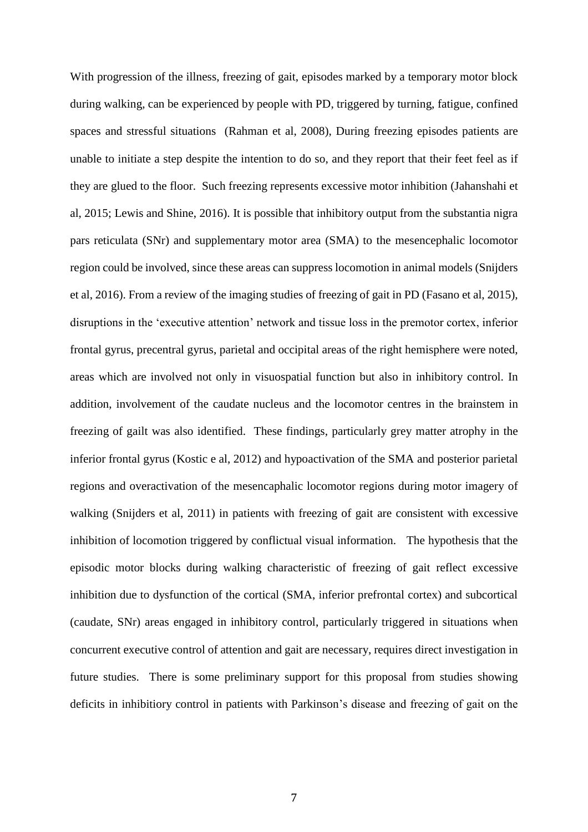With progression of the illness, freezing of gait, episodes marked by a temporary motor block during walking, can be experienced by people with PD, triggered by turning, fatigue, confined spaces and stressful situations (Rahman et al, 2008), During freezing episodes patients are unable to initiate a step despite the intention to do so, and they report that their feet feel as if they are glued to the floor. Such freezing represents excessive motor inhibition (Jahanshahi et al, 2015; Lewis and Shine, 2016). It is possible that inhibitory output from the substantia nigra pars reticulata (SNr) and supplementary motor area (SMA) to the mesencephalic locomotor region could be involved, since these areas can suppress locomotion in animal models (Snijders et al, 2016). From a review of the imaging studies of freezing of gait in PD (Fasano et al, 2015), disruptions in the 'executive attention' network and tissue loss in the premotor cortex, inferior frontal gyrus, precentral gyrus, parietal and occipital areas of the right hemisphere were noted, areas which are involved not only in visuospatial function but also in inhibitory control. In addition, involvement of the caudate nucleus and the locomotor centres in the brainstem in freezing of gailt was also identified. These findings, particularly grey matter atrophy in the inferior frontal gyrus (Kostic e al, 2012) and hypoactivation of the SMA and posterior parietal regions and overactivation of the mesencaphalic locomotor regions during motor imagery of walking (Snijders et al, 2011) in patients with freezing of gait are consistent with excessive inhibition of locomotion triggered by conflictual visual information. The hypothesis that the episodic motor blocks during walking characteristic of freezing of gait reflect excessive inhibition due to dysfunction of the cortical (SMA, inferior prefrontal cortex) and subcortical (caudate, SNr) areas engaged in inhibitory control, particularly triggered in situations when concurrent executive control of attention and gait are necessary, requires direct investigation in future studies. There is some preliminary support for this proposal from studies showing deficits in inhibitiory control in patients with Parkinson's disease and freezing of gait on the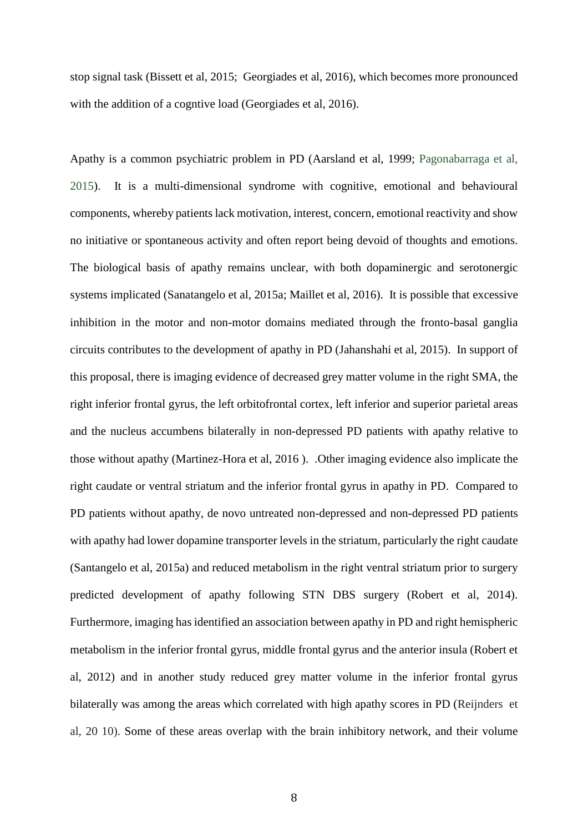stop signal task (Bissett et al, 2015; Georgiades et al, 2016), which becomes more pronounced with the addition of a cognity load (Georgiades et al, 2016).

Apathy is a common psychiatric problem in PD (Aarsland et al, 1999; Pagonabarraga et al, 2015). It is a multi-dimensional syndrome with cognitive, emotional and behavioural components, whereby patients lack motivation, interest, concern, emotional reactivity and show no initiative or spontaneous activity and often report being devoid of thoughts and emotions. The biological basis of apathy remains unclear, with both dopaminergic and serotonergic systems implicated (Sanatangelo et al, 2015a; Maillet et al, 2016). It is possible that excessive inhibition in the motor and non-motor domains mediated through the fronto-basal ganglia circuits contributes to the development of apathy in PD (Jahanshahi et al, 2015). In support of this proposal, there is imaging evidence of decreased grey matter volume in the right SMA, the right inferior frontal gyrus, the left orbitofrontal cortex, left inferior and superior parietal areas and the nucleus accumbens bilaterally in non-depressed PD patients with apathy relative to those without apathy (Martinez-Hora et al, 2016 ). .Other imaging evidence also implicate the right caudate or ventral striatum and the inferior frontal gyrus in apathy in PD. Compared to PD patients without apathy, de novo untreated non-depressed and non-depressed PD patients with apathy had lower dopamine transporter levels in the striatum, particularly the right caudate (Santangelo et al, 2015a) and reduced metabolism in the right ventral striatum prior to surgery predicted development of apathy following STN DBS surgery (Robert et al, 2014). Furthermore, imaging has identified an association between apathy in PD and right hemispheric metabolism in the inferior frontal gyrus, middle frontal gyrus and the anterior insula (Robert et al, 2012) and in another study reduced grey matter volume in the inferior frontal gyrus bilaterally was among the areas which correlated with high apathy scores in PD (Reijnders et al, 20 10). Some of these areas overlap with the brain inhibitory network, and their volume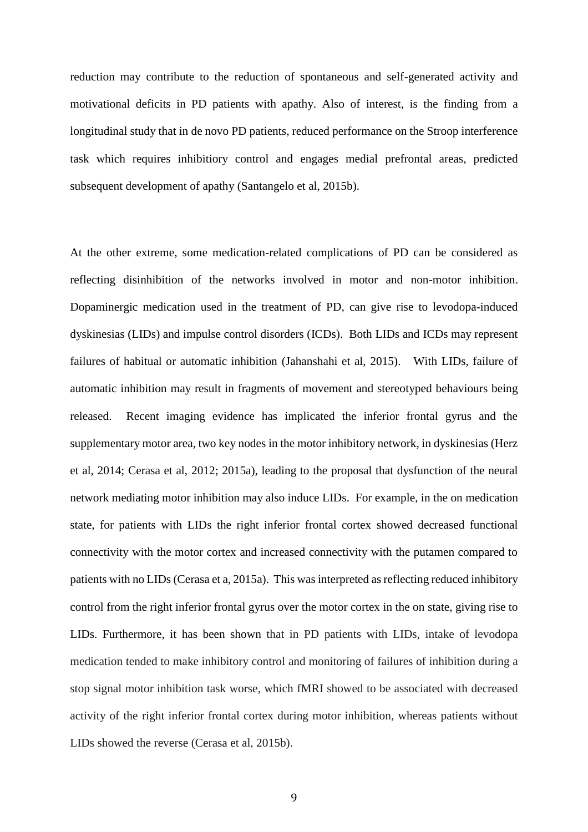reduction may contribute to the reduction of spontaneous and self-generated activity and motivational deficits in PD patients with apathy. Also of interest, is the finding from a longitudinal study that in de novo PD patients, reduced performance on the Stroop interference task which requires inhibitiory control and engages medial prefrontal areas, predicted subsequent development of apathy (Santangelo et al, 2015b).

At the other extreme, some medication-related complications of PD can be considered as reflecting disinhibition of the networks involved in motor and non-motor inhibition. Dopaminergic medication used in the treatment of PD, can give rise to levodopa-induced dyskinesias (LIDs) and impulse control disorders (ICDs). Both LIDs and ICDs may represent failures of habitual or automatic inhibition (Jahanshahi et al, 2015). With LIDs, failure of automatic inhibition may result in fragments of movement and stereotyped behaviours being released. Recent imaging evidence has implicated the inferior frontal gyrus and the supplementary motor area, two key nodes in the motor inhibitory network, in dyskinesias (Herz et al, 2014; Cerasa et al, 2012; 2015a), leading to the proposal that dysfunction of the neural network mediating motor inhibition may also induce LIDs. For example, in the on medication state, for patients with LIDs the right inferior frontal cortex showed decreased functional connectivity with the motor cortex and increased connectivity with the putamen compared to patients with no LIDs (Cerasa et a, 2015a). This was interpreted as reflecting reduced inhibitory control from the right inferior frontal gyrus over the motor cortex in the on state, giving rise to LIDs. Furthermore, it has been shown that in PD patients with LIDs, intake of levodopa medication tended to make inhibitory control and monitoring of failures of inhibition during a stop signal motor inhibition task worse, which fMRI showed to be associated with decreased activity of the right inferior frontal cortex during motor inhibition, whereas patients without LIDs showed the reverse (Cerasa et al, 2015b).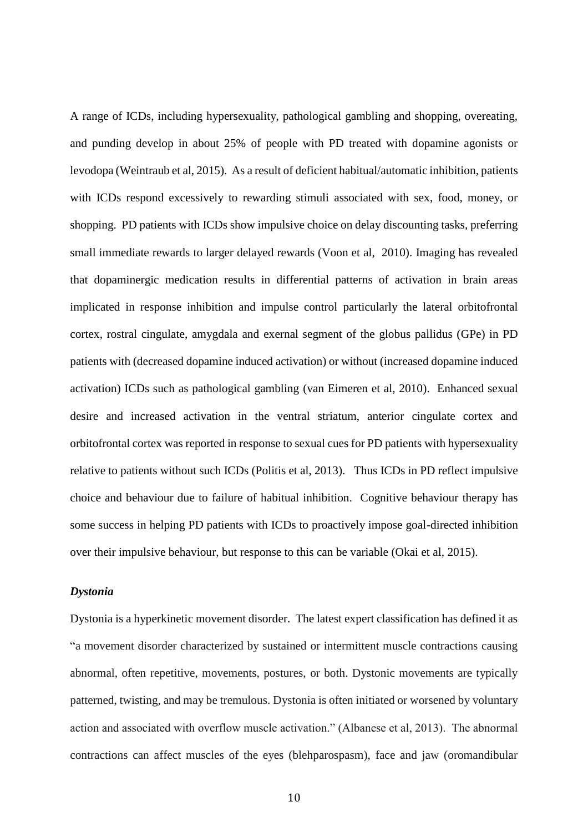A range of ICDs, including hypersexuality, pathological gambling and shopping, overeating, and punding develop in about 25% of people with PD treated with dopamine agonists or levodopa (Weintraub et al, 2015). As a result of deficient habitual/automatic inhibition, patients with ICDs respond excessively to rewarding stimuli associated with sex, food, money, or shopping. PD patients with ICDs show impulsive choice on delay discounting tasks, preferring small immediate rewards to larger delayed rewards (Voon et al, 2010). Imaging has revealed that dopaminergic medication results in differential patterns of activation in brain areas implicated in response inhibition and impulse control particularly the lateral orbitofrontal cortex, rostral cingulate, amygdala and exernal segment of the globus pallidus (GPe) in PD patients with (decreased dopamine induced activation) or without (increased dopamine induced activation) ICDs such as pathological gambling (van Eimeren et al, 2010). Enhanced sexual desire and increased activation in the ventral striatum, anterior cingulate cortex and orbitofrontal cortex was reported in response to sexual cues for PD patients with hypersexuality relative to patients without such ICDs (Politis et al, 2013). Thus ICDs in PD reflect impulsive choice and behaviour due to failure of habitual inhibition. Cognitive behaviour therapy has some success in helping PD patients with ICDs to proactively impose goal-directed inhibition over their impulsive behaviour, but response to this can be variable (Okai et al, 2015).

#### *Dystonia*

Dystonia is a hyperkinetic movement disorder. The latest expert classification has defined it as "a movement disorder characterized by sustained or intermittent muscle contractions causing abnormal, often repetitive, movements, postures, or both. Dystonic movements are typically patterned, twisting, and may be tremulous. Dystonia is often initiated or worsened by voluntary action and associated with overflow muscle activation." (Albanese et al, 2013). The abnormal contractions can affect muscles of the eyes (blehparospasm), face and jaw (oromandibular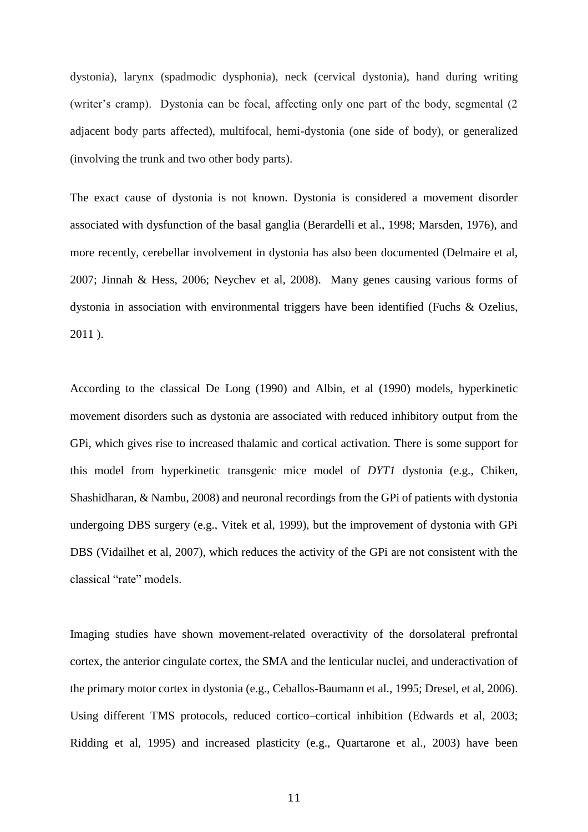dystonia), larynx (spadmodic dysphonia), neck (cervical dystonia), hand during writing (writer's cramp). Dystonia can be focal, affecting only one part of the body, segmental (2 adjacent body parts affected), multifocal, hemi-dystonia (one side of body), or generalized (involving the trunk and two other body parts).

The exact cause of dystonia is not known. Dystonia is considered a movement disorder associated with dysfunction of the basal ganglia (Berardelli et al., 1998; Marsden, 1976), and more recently, cerebellar involvement in dystonia has also been documented (Delmaire et al, 2007; Jinnah & Hess, 2006; Neychev et al, 2008). Many genes causing various forms of dystonia in association with environmental triggers have been identified (Fuchs & Ozelius, 2011 ).

According to the classical De Long (1990) and Albin, et al (1990) models, hyperkinetic movement disorders such as dystonia are associated with reduced inhibitory output from the GPi, which gives rise to increased thalamic and cortical activation. There is some support for this model from hyperkinetic transgenic mice model of *DYT1* dystonia (e.g., Chiken, Shashidharan, & Nambu, 2008) and neuronal recordings from the GPi of patients with dystonia undergoing DBS surgery (e.g., Vitek et al, 1999), but the improvement of dystonia with GPi DBS (Vidailhet et al, 2007), which reduces the activity of the GPi are not consistent with the classical "rate" models.

Imaging studies have shown movement-related overactivity of the dorsolateral prefrontal cortex, the anterior cingulate cortex, the SMA and the lenticular nuclei, and underactivation of the primary motor cortex in dystonia (e.g., Ceballos-Baumann et al., 1995; Dresel, et al, 2006). Using different TMS protocols, reduced cortico–cortical inhibition (Edwards et al, 2003; Ridding et al, 1995) and increased plasticity (e.g., Quartarone et al., 2003) have been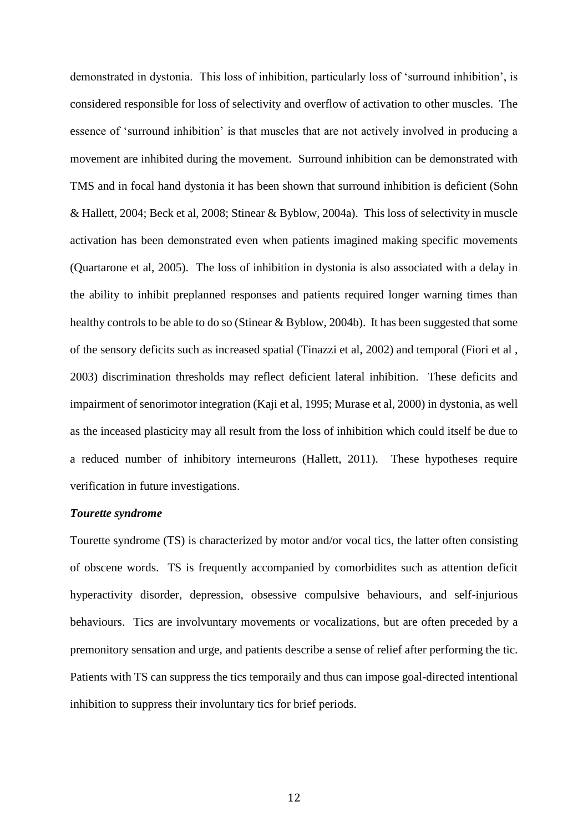demonstrated in dystonia. This loss of inhibition, particularly loss of 'surround inhibition', is considered responsible for loss of selectivity and overflow of activation to other muscles. The essence of 'surround inhibition' is that muscles that are not actively involved in producing a movement are inhibited during the movement. Surround inhibition can be demonstrated with TMS and in focal hand dystonia it has been shown that surround inhibition is deficient (Sohn & Hallett, 2004; Beck et al, 2008; Stinear & Byblow, 2004a). This loss of selectivity in muscle activation has been demonstrated even when patients imagined making specific movements (Quartarone et al, 2005). The loss of inhibition in dystonia is also associated with a delay in the ability to inhibit preplanned responses and patients required longer warning times than healthy controls to be able to do so (Stinear & Byblow, 2004b). It has been suggested that some of the sensory deficits such as increased spatial (Tinazzi et al, 2002) and temporal (Fiori et al , 2003) discrimination thresholds may reflect deficient lateral inhibition. These deficits and impairment of senorimotor integration (Kaji et al, 1995; Murase et al, 2000) in dystonia, as well as the inceased plasticity may all result from the loss of inhibition which could itself be due to a reduced number of inhibitory interneurons (Hallett, 2011). These hypotheses require verification in future investigations.

#### *Tourette syndrome*

Tourette syndrome (TS) is characterized by motor and/or vocal tics, the latter often consisting of obscene words. TS is frequently accompanied by comorbidites such as attention deficit hyperactivity disorder, depression, obsessive compulsive behaviours, and self-injurious behaviours. Tics are involvuntary movements or vocalizations, but are often preceded by a premonitory sensation and urge, and patients describe a sense of relief after performing the tic. Patients with TS can suppress the tics temporaily and thus can impose goal-directed intentional inhibition to suppress their involuntary tics for brief periods.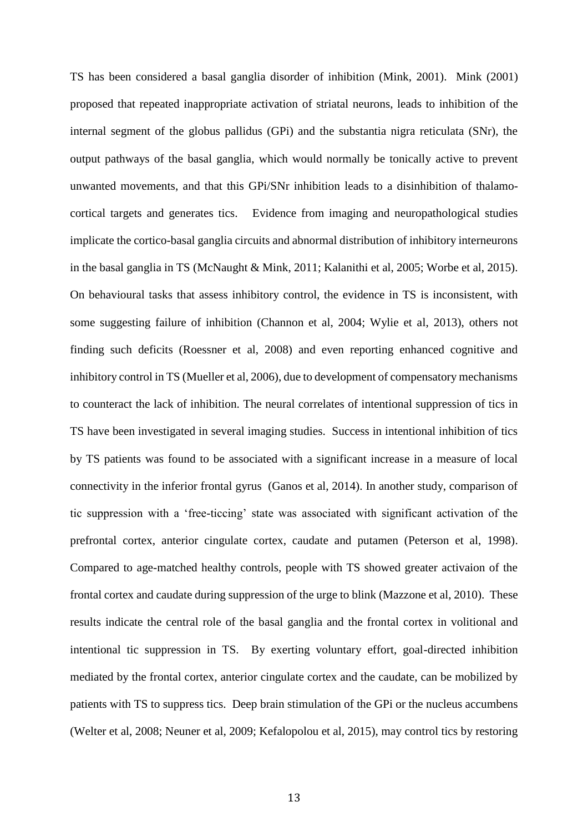TS has been considered a basal ganglia disorder of inhibition (Mink, 2001). Mink (2001) proposed that repeated inappropriate activation of striatal neurons, leads to inhibition of the internal segment of the globus pallidus (GPi) and the substantia nigra reticulata (SNr), the output pathways of the basal ganglia, which would normally be tonically active to prevent unwanted movements, and that this GPi/SNr inhibition leads to a disinhibition of thalamocortical targets and generates tics. Evidence from imaging and neuropathological studies implicate the cortico-basal ganglia circuits and abnormal distribution of inhibitory interneurons in the basal ganglia in TS (McNaught & Mink, 2011; Kalanithi et al, 2005; Worbe et al, 2015). On behavioural tasks that assess inhibitory control, the evidence in TS is inconsistent, with some suggesting failure of inhibition (Channon et al, 2004; Wylie et al, 2013), others not finding such deficits (Roessner et al, 2008) and even reporting enhanced cognitive and inhibitory control in TS (Mueller et al, 2006), due to development of compensatory mechanisms to counteract the lack of inhibition. The neural correlates of intentional suppression of tics in TS have been investigated in several imaging studies. Success in intentional inhibition of tics by TS patients was found to be associated with a significant increase in a measure of local connectivity in the inferior frontal gyrus (Ganos et al, 2014). In another study, comparison of tic suppression with a 'free-ticcing' state was associated with significant activation of the prefrontal cortex, anterior cingulate cortex, caudate and putamen (Peterson et al, 1998). Compared to age-matched healthy controls, people with TS showed greater activaion of the frontal cortex and caudate during suppression of the urge to blink (Mazzone et al, 2010). These results indicate the central role of the basal ganglia and the frontal cortex in volitional and intentional tic suppression in TS. By exerting voluntary effort, goal-directed inhibition mediated by the frontal cortex, anterior cingulate cortex and the caudate, can be mobilized by patients with TS to suppress tics. Deep brain stimulation of the GPi or the nucleus accumbens (Welter et al, 2008; Neuner et al, 2009; Kefalopolou et al, 2015), may control tics by restoring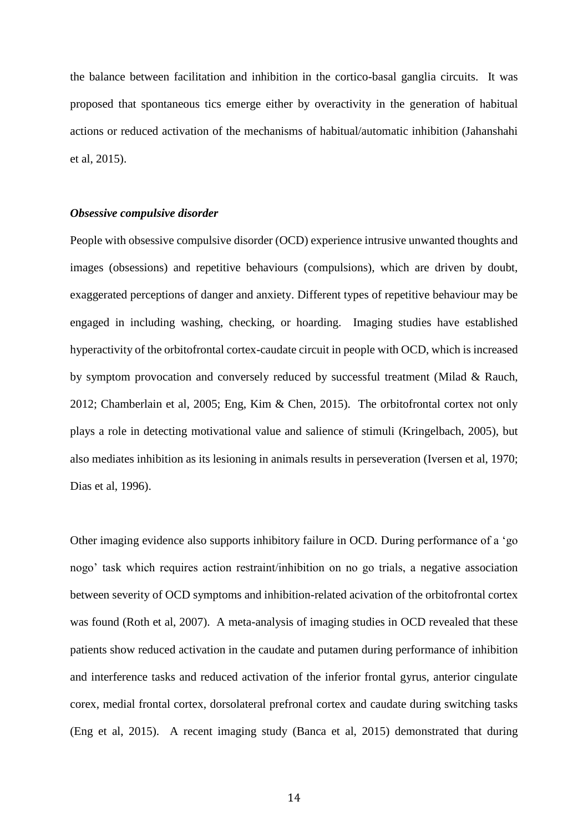the balance between facilitation and inhibition in the cortico-basal ganglia circuits. It was proposed that spontaneous tics emerge either by overactivity in the generation of habitual actions or reduced activation of the mechanisms of habitual/automatic inhibition (Jahanshahi et al, 2015).

#### *Obsessive compulsive disorder*

People with obsessive compulsive disorder (OCD) experience intrusive unwanted thoughts and images (obsessions) and repetitive behaviours (compulsions), which are driven by doubt, exaggerated perceptions of danger and anxiety. Different types of repetitive behaviour may be engaged in including washing, checking, or hoarding. Imaging studies have established hyperactivity of the orbitofrontal cortex-caudate circuit in people with OCD, which is increased by symptom provocation and conversely reduced by successful treatment (Milad & Rauch, 2012; Chamberlain et al, 2005; Eng, Kim & Chen, 2015). The orbitofrontal cortex not only plays a role in detecting motivational value and salience of stimuli (Kringelbach, 2005), but also mediates inhibition as its lesioning in animals results in perseveration (Iversen et al, 1970; Dias et al, 1996).

Other imaging evidence also supports inhibitory failure in OCD. During performance of a 'go nogo' task which requires action restraint/inhibition on no go trials, a negative association between severity of OCD symptoms and inhibition-related acivation of the orbitofrontal cortex was found (Roth et al, 2007). A meta-analysis of imaging studies in OCD revealed that these patients show reduced activation in the caudate and putamen during performance of inhibition and interference tasks and reduced activation of the inferior frontal gyrus, anterior cingulate corex, medial frontal cortex, dorsolateral prefronal cortex and caudate during switching tasks (Eng et al, 2015). A recent imaging study (Banca et al, 2015) demonstrated that during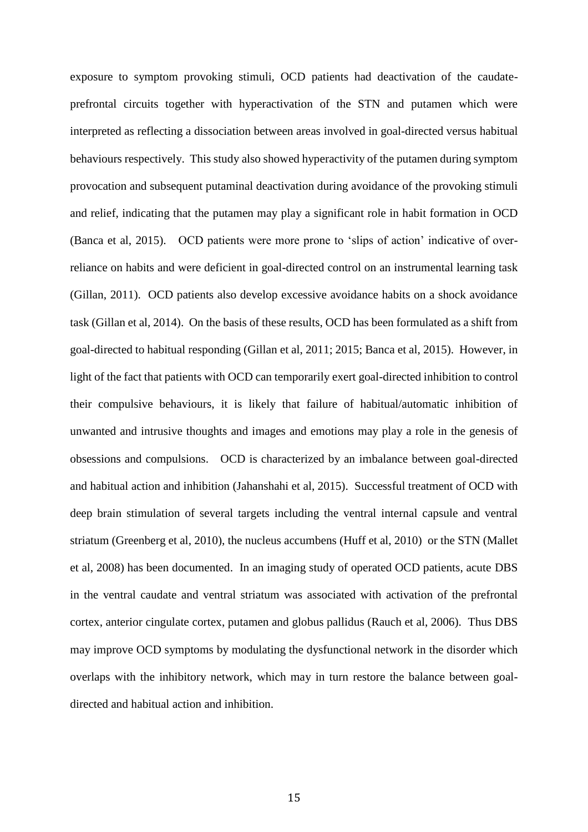exposure to symptom provoking stimuli, OCD patients had deactivation of the caudateprefrontal circuits together with hyperactivation of the STN and putamen which were interpreted as reflecting a dissociation between areas involved in goal-directed versus habitual behaviours respectively. This study also showed hyperactivity of the putamen during symptom provocation and subsequent putaminal deactivation during avoidance of the provoking stimuli and relief, indicating that the putamen may play a significant role in habit formation in OCD (Banca et al, 2015). OCD patients were more prone to 'slips of action' indicative of overreliance on habits and were deficient in goal-directed control on an instrumental learning task (Gillan, 2011). OCD patients also develop excessive avoidance habits on a shock avoidance task (Gillan et al, 2014). On the basis of these results, OCD has been formulated as a shift from goal-directed to habitual responding (Gillan et al, 2011; 2015; Banca et al, 2015). However, in light of the fact that patients with OCD can temporarily exert goal-directed inhibition to control their compulsive behaviours, it is likely that failure of habitual/automatic inhibition of unwanted and intrusive thoughts and images and emotions may play a role in the genesis of obsessions and compulsions. OCD is characterized by an imbalance between goal-directed and habitual action and inhibition (Jahanshahi et al, 2015). Successful treatment of OCD with deep brain stimulation of several targets including the ventral internal capsule and ventral striatum (Greenberg et al, 2010), the nucleus accumbens (Huff et al, 2010) or the STN (Mallet et al, 2008) has been documented. In an imaging study of operated OCD patients, acute DBS in the ventral caudate and ventral striatum was associated with activation of the prefrontal cortex, anterior cingulate cortex, putamen and globus pallidus (Rauch et al, 2006). Thus DBS may improve OCD symptoms by modulating the dysfunctional network in the disorder which overlaps with the inhibitory network, which may in turn restore the balance between goaldirected and habitual action and inhibition.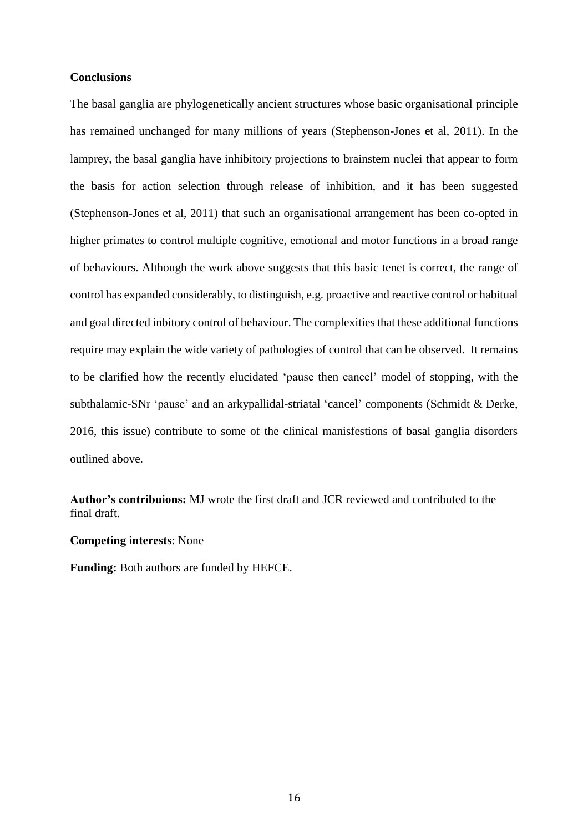#### **Conclusions**

The basal ganglia are phylogenetically ancient structures whose basic organisational principle has remained unchanged for many millions of years (Stephenson-Jones et al, 2011). In the lamprey, the basal ganglia have inhibitory projections to brainstem nuclei that appear to form the basis for action selection through release of inhibition, and it has been suggested (Stephenson-Jones et al, 2011) that such an organisational arrangement has been co-opted in higher primates to control multiple cognitive, emotional and motor functions in a broad range of behaviours. Although the work above suggests that this basic tenet is correct, the range of control has expanded considerably, to distinguish, e.g. proactive and reactive control or habitual and goal directed inbitory control of behaviour. The complexities that these additional functions require may explain the wide variety of pathologies of control that can be observed. It remains to be clarified how the recently elucidated 'pause then cancel' model of stopping, with the subthalamic-SNr 'pause' and an arkypallidal-striatal 'cancel' components (Schmidt & Derke, 2016, this issue) contribute to some of the clinical manisfestions of basal ganglia disorders outlined above.

**Author's contribuions:** MJ wrote the first draft and JCR reviewed and contributed to the final draft.

#### **Competing interests**: None

**Funding:** Both authors are funded by HEFCE.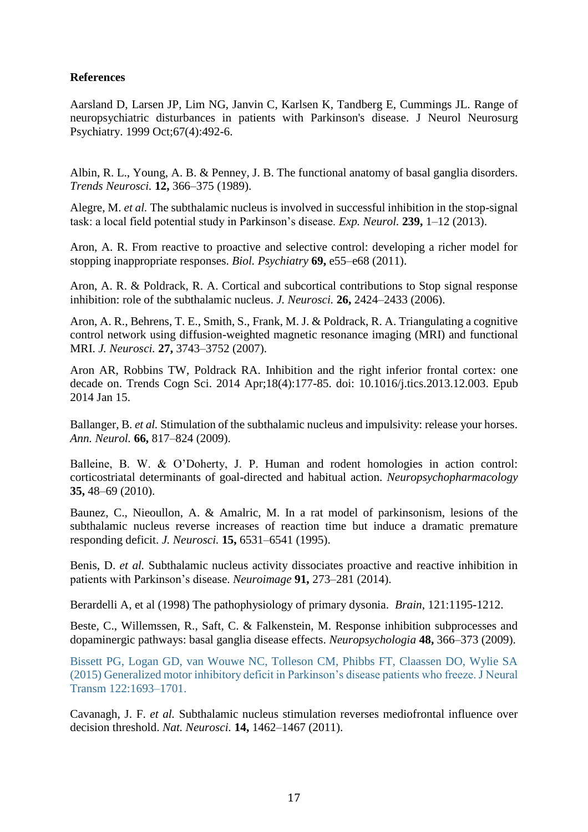## **References**

Aarsland D, Larsen JP, Lim NG, Janvin C, Karlsen K, Tandberg E, Cummings JL. [Range of](https://www.ncbi.nlm.nih.gov/pubmed/10486397)  [neuropsychiatric disturbances in patients with Parkinson's disease.](https://www.ncbi.nlm.nih.gov/pubmed/10486397) J Neurol Neurosurg Psychiatry. 1999 Oct;67(4):492-6.

Albin, R. L., Young, A. B. & Penney, J. B. The functional anatomy of basal ganglia disorders. *Trends Neurosci.* **12,** 366–375 (1989).

Alegre, M. *et al.* The subthalamic nucleus is involved in successful inhibition in the stop-signal task: a local field potential study in Parkinson's disease. *Exp. Neurol.* **239,** 1–12 (2013).

Aron, A. R. From reactive to proactive and selective control: developing a richer model for stopping inappropriate responses. *Biol. Psychiatry* **69,** e55–e68 (2011).

Aron, A. R. & Poldrack, R. A. Cortical and subcortical contributions to Stop signal response inhibition: role of the subthalamic nucleus. *J. Neurosci.* **26,** 2424–2433 (2006).

Aron, A. R., Behrens, T. E., Smith, S., Frank, M. J. & Poldrack, R. A. Triangulating a cognitive control network using diffusion-weighted magnetic resonance imaging (MRI) and functional MRI. *J. Neurosci.* **27,** 3743–3752 (2007).

Aron AR, Robbins TW, Poldrack RA. [Inhibition and the right inferior](https://www.ncbi.nlm.nih.gov/pubmed/24440116) frontal cortex: one [decade on.](https://www.ncbi.nlm.nih.gov/pubmed/24440116) Trends Cogn Sci. 2014 Apr;18(4):177-85. doi: 10.1016/j.tics.2013.12.003. Epub 2014 Jan 15.

Ballanger, B. *et al.* Stimulation of the subthalamic nucleus and impulsivity: release your horses. *Ann. Neurol.* **66,** 817–824 (2009).

Balleine, B. W. & O'Doherty, J. P. Human and rodent homologies in action control: corticostriatal determinants of goal-directed and habitual action. *Neuropsychopharmacology*  **35,** 48–69 (2010).

Baunez, C., Nieoullon, A. & Amalric, M. In a rat model of parkinsonism, lesions of the subthalamic nucleus reverse increases of reaction time but induce a dramatic premature responding deficit. *J. Neurosci.* **15,** 6531–6541 (1995).

Benis, D. *et al.* Subthalamic nucleus activity dissociates proactive and reactive inhibition in patients with Parkinson's disease. *Neuroimage* **91,** 273–281 (2014).

Berardelli A, et al (1998) The pathophysiology of primary dysonia. *Brain*, 121:1195-1212.

Beste, C., Willemssen, R., Saft, C. & Falkenstein, M. Response inhibition subprocesses and dopaminergic pathways: basal ganglia disease effects. *Neuropsychologia* **48,** 366–373 (2009).

Bissett PG, Logan GD, van Wouwe NC, Tolleson CM, Phibbs FT, Claassen DO, Wylie SA (2015) Generalized motor inhibitory deficit in Parkinson's disease patients who freeze. J Neural Transm 122:1693–1701.

Cavanagh, J. F. *et al.* Subthalamic nucleus stimulation reverses mediofrontal influence over decision threshold. *Nat. Neurosci.* **14,** 1462–1467 (2011).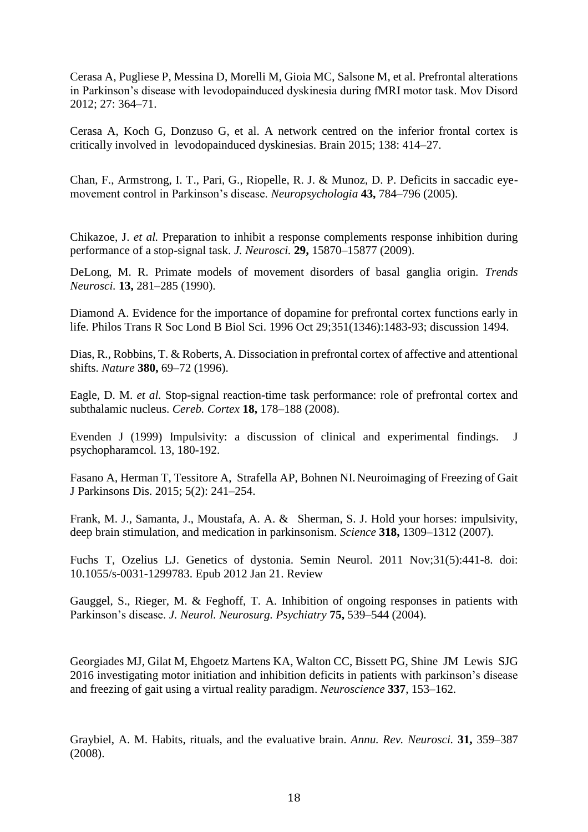Cerasa A, Pugliese P, Messina D, Morelli M, Gioia MC, Salsone M, et al. Prefrontal alterations in Parkinson's disease with levodopainduced dyskinesia during fMRI motor task. Mov Disord 2012; 27: 364–71.

Cerasa A, Koch G, Donzuso G, et al. A network centred on the inferior frontal cortex is critically involved in levodopainduced dyskinesias. Brain 2015; 138: 414–27.

Chan, F., Armstrong, I. T., Pari, G., Riopelle, R. J. & Munoz, D. P. Deficits in saccadic eyemovement control in Parkinson's disease. *Neuropsychologia* **43,** 784–796 (2005).

Chikazoe, J. *et al.* Preparation to inhibit a response complements response inhibition during performance of a stop-signal task. *J. Neurosci.* **29,** 15870–15877 (2009).

DeLong, M. R. Primate models of movement disorders of basal ganglia origin. *Trends Neurosci.* **13,** 281–285 (1990).

[Diamond A.](https://www.ncbi.nlm.nih.gov/pubmed/?term=Diamond%20A%5BAuthor%5D&cauthor=true&cauthor_uid=8941960) Evidence for the importance of dopamine for prefrontal cortex functions early in life. Philos Trans R Soc Lond B Biol Sci. 1996 Oct 29;351(1346):1483-93; discussion 1494.

Dias, R., Robbins, T. & Roberts, A. Dissociation in prefrontal cortex of affective and attentional shifts. *Nature* **380,** 69–72 (1996).

Eagle, D. M. *et al.* Stop-signal reaction-time task performance: role of prefrontal cortex and subthalamic nucleus. *Cereb. Cortex* **18,** 178–188 (2008).

Evenden J (1999) Impulsivity: a discussion of clinical and experimental findings. J psychopharamcol. 13, 180-192.

[Fasano](https://www.ncbi.nlm.nih.gov/pubmed/?term=Fasano%20A%5BAuthor%5D&cauthor=true&cauthor_uid=25757831) A, [Herman](https://www.ncbi.nlm.nih.gov/pubmed/?term=Herman%20T%5BAuthor%5D&cauthor=true&cauthor_uid=25757831) T, [Tessitore](https://www.ncbi.nlm.nih.gov/pubmed/?term=Tessitore%20A%5BAuthor%5D&cauthor=true&cauthor_uid=25757831) A, [Strafella](https://www.ncbi.nlm.nih.gov/pubmed/?term=Strafella%20AP%5BAuthor%5D&cauthor=true&cauthor_uid=25757831) AP, [Bohnen](https://www.ncbi.nlm.nih.gov/pubmed/?term=Bohnen%20NI%5BAuthor%5D&cauthor=true&cauthor_uid=25757831) NI. Neuroimaging of Freezing of Gait [J Parkinsons Dis.](https://www.ncbi.nlm.nih.gov/pmc/articles/PMC4923721/) 2015; 5(2): 241–254.

Frank, M. J., Samanta, J., Moustafa, A. A. & Sherman, S. J. Hold your horses: impulsivity, deep brain stimulation, and medication in parkinsonism. *Science* **318,** 1309–1312 (2007).

Fuchs T, Ozelius LJ. [Genetics of dystonia.](https://www.ncbi.nlm.nih.gov/pubmed/22266882) Semin Neurol. 2011 Nov;31(5):441-8. doi: 10.1055/s-0031-1299783. Epub 2012 Jan 21. Review

Gauggel, S., Rieger, M. & Feghoff, T. A. Inhibition of ongoing responses in patients with Parkinson's disease. *J. Neurol. Neurosurg. Psychiatry* **75,** 539–544 (2004).

Georgiades MJ, Gilat M, Ehgoetz Martens KA, Walton CC, Bissett PG, Shine JM Lewis SJG 2016 investigating motor initiation and inhibition deficits in patients with parkinson's disease and freezing of gait using a virtual reality paradigm. *Neuroscience* **337**, 153–162.

Graybiel, A. M. Habits, rituals, and the evaluative brain. *Annu. Rev. Neurosci.* **31,** 359–387 (2008).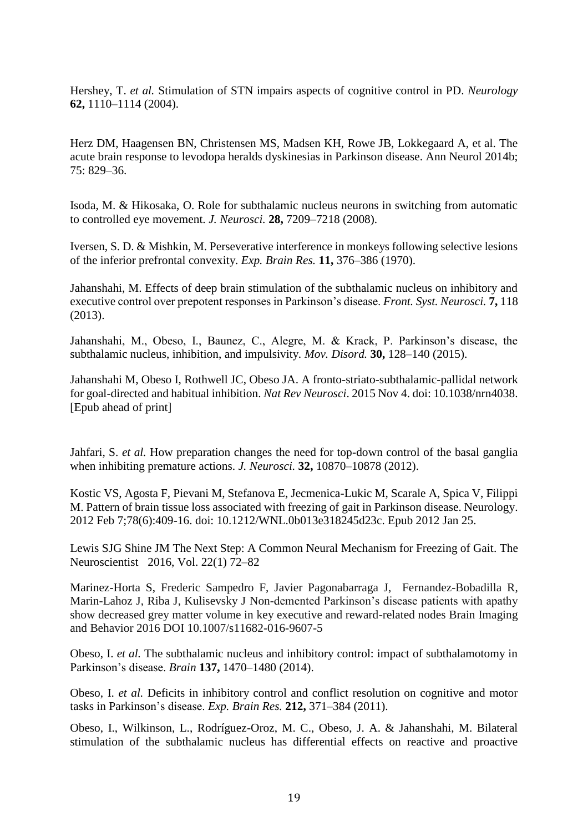Hershey, T. *et al.* Stimulation of STN impairs aspects of cognitive control in PD. *Neurology*  **62,** 1110–1114 (2004).

Herz DM, Haagensen BN, Christensen MS, Madsen KH, Rowe JB, Lokkegaard A, et al. The acute brain response to levodopa heralds dyskinesias in Parkinson disease. Ann Neurol 2014b; 75: 829–36.

Isoda, M. & Hikosaka, O. Role for subthalamic nucleus neurons in switching from automatic to controlled eye movement. *J. Neurosci.* **28,** 7209–7218 (2008).

Iversen, S. D. & Mishkin, M. Perseverative interference in monkeys following selective lesions of the inferior prefrontal convexity. *Exp. Brain Res.* **11,** 376–386 (1970).

Jahanshahi, M. Effects of deep brain stimulation of the subthalamic nucleus on inhibitory and executive control over prepotent responses in Parkinson's disease. *Front. Syst. Neurosci.* **7,** 118 (2013).

Jahanshahi, M., Obeso, I., Baunez, C., Alegre, M. & Krack, P. Parkinson's disease, the subthalamic nucleus, inhibition, and impulsivity. *Mov. Disord.* **30,** 128–140 (2015).

Jahanshahi M, Obeso I, Rothwell JC, Obeso JA. [A fronto-striato-subthalamic-pallidal network](http://www.ncbi.nlm.nih.gov/pubmed/26530468)  [for goal-directed and habitual inhibition.](http://www.ncbi.nlm.nih.gov/pubmed/26530468) *Nat Rev Neurosci*. 2015 Nov 4. doi: 10.1038/nrn4038. [Epub ahead of print]

Jahfari, S. *et al.* How preparation changes the need for top-down control of the basal ganglia when inhibiting premature actions. *J. Neurosci.* **32,** 10870–10878 (2012).

Kostic VS, Agosta F, Pievani M, Stefanova E, Jecmenica-Lukic M, Scarale A, Spica V, Filippi M. [Pattern of brain tissue loss associated with freezing](https://www.ncbi.nlm.nih.gov/pubmed/22282641) of gait in Parkinson disease. Neurology. 2012 Feb 7;78(6):409-16. doi: 10.1212/WNL.0b013e318245d23c. Epub 2012 Jan 25.

Lewis SJG Shine JM The Next Step: A Common Neural Mechanism for Freezing of Gait. The Neuroscientist 2016, Vol. 22(1) 72–82

Marinez-Horta S, Frederic Sampedro F, Javier Pagonabarraga J, Fernandez-Bobadilla R, Marin-Lahoz J, Riba J, Kulisevsky J Non-demented Parkinson's disease patients with apathy show decreased grey matter volume in key executive and reward-related nodes Brain Imaging and Behavior 2016 DOI 10.1007/s11682-016-9607-5

Obeso, I. *et al.* The subthalamic nucleus and inhibitory control: impact of subthalamotomy in Parkinson's disease. *Brain* **137,** 1470–1480 (2014).

Obeso, I. *et al.* Deficits in inhibitory control and conflict resolution on cognitive and motor tasks in Parkinson's disease. *Exp. Brain Res.* **212,** 371–384 (2011).

Obeso, I., Wilkinson, L., Rodríguez-Oroz, M. C., Obeso, J. A. & Jahanshahi, M. Bilateral stimulation of the subthalamic nucleus has differential effects on reactive and proactive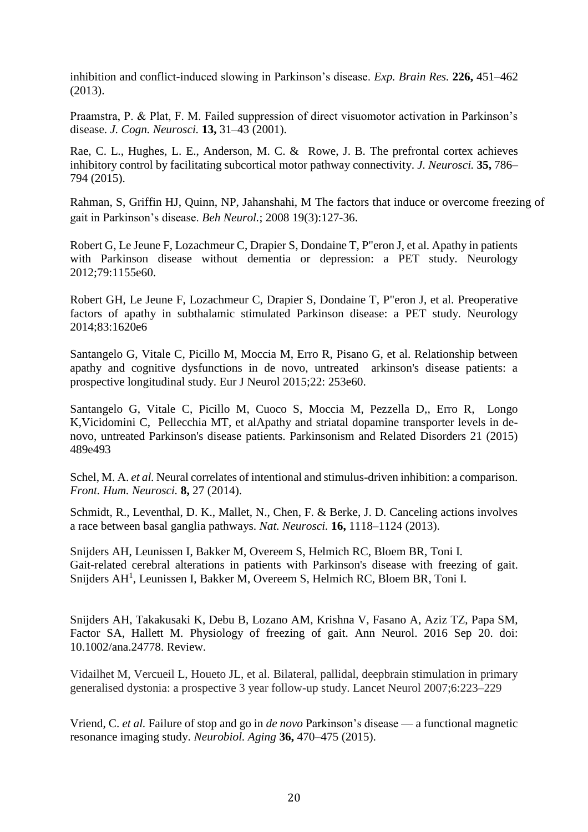inhibition and conflict-induced slowing in Parkinson's disease. *Exp. Brain Res.* **226,** 451–462 (2013).

Praamstra, P. & Plat, F. M. Failed suppression of direct visuomotor activation in Parkinson's disease. *J. Cogn. Neurosci.* **13,** 31–43 (2001).

Rae, C. L., Hughes, L. E., Anderson, M. C. & Rowe, J. B. The prefrontal cortex achieves inhibitory control by facilitating subcortical motor pathway connectivity. *J. Neurosci.* **35,** 786– 794 (2015).

Rahman, S, Griffin HJ, Quinn, NP, Jahanshahi, M The factors that induce or overcome freezing of gait in Parkinson's disease. *Beh Neurol.*; 2008 19(3):127-36.

Robert G, Le Jeune F, Lozachmeur C, Drapier S, Dondaine T, P"eron J, et al. Apathy in patients with Parkinson disease without dementia or depression: a PET study. Neurology 2012;79:1155e60.

Robert GH, Le Jeune F, Lozachmeur C, Drapier S, Dondaine T, P"eron J, et al. Preoperative factors of apathy in subthalamic stimulated Parkinson disease: a PET study. Neurology 2014;83:1620e6

Santangelo G, Vitale C, Picillo M, Moccia M, Erro R, Pisano G, et al. Relationship between apathy and cognitive dysfunctions in de novo, untreated arkinson's disease patients: a prospective longitudinal study. Eur J Neurol 2015;22: 253e60.

Santangelo G, Vitale C, Picillo M, Cuoco S, Moccia M, Pezzella D,, Erro R, Longo K,Vicidomini C, Pellecchia MT, et alApathy and striatal dopamine transporter levels in denovo, untreated Parkinson's disease patients. Parkinsonism and Related Disorders 21 (2015) 489e493

Schel, M. A. *et al.* Neural correlates of intentional and stimulus-driven inhibition: a comparison. *Front. Hum. Neurosci.* **8,** 27 (2014).

Schmidt, R., Leventhal, D. K., Mallet, N., Chen, F. & Berke, J. D. Canceling actions involves a race between basal ganglia pathways. *Nat. Neurosci.* **16,** 1118–1124 (2013).

[Snijders AH,](https://www.ncbi.nlm.nih.gov/pubmed/?term=Snijders%20AH%5BAuthor%5D&cauthor=true&cauthor_uid=21126990) [Leunissen I,](https://www.ncbi.nlm.nih.gov/pubmed/?term=Leunissen%20I%5BAuthor%5D&cauthor=true&cauthor_uid=21126990) [Bakker M,](https://www.ncbi.nlm.nih.gov/pubmed/?term=Bakker%20M%5BAuthor%5D&cauthor=true&cauthor_uid=21126990) [Overeem S,](https://www.ncbi.nlm.nih.gov/pubmed/?term=Overeem%20S%5BAuthor%5D&cauthor=true&cauthor_uid=21126990) [Helmich RC,](https://www.ncbi.nlm.nih.gov/pubmed/?term=Helmich%20RC%5BAuthor%5D&cauthor=true&cauthor_uid=21126990) [Bloem BR,](https://www.ncbi.nlm.nih.gov/pubmed/?term=Bloem%20BR%5BAuthor%5D&cauthor=true&cauthor_uid=21126990) [Toni I.](https://www.ncbi.nlm.nih.gov/pubmed/?term=Toni%20I%5BAuthor%5D&cauthor=true&cauthor_uid=21126990) Gait-related cerebral alterations in patients with Parkinson's disease with freezing of gait. [Snijders AH](https://www.ncbi.nlm.nih.gov/pubmed/?term=Snijders%20AH%5BAuthor%5D&cauthor=true&cauthor_uid=21126990)<sup>1</sup>, [Leunissen I,](https://www.ncbi.nlm.nih.gov/pubmed/?term=Leunissen%20I%5BAuthor%5D&cauthor=true&cauthor_uid=21126990) [Bakker M,](https://www.ncbi.nlm.nih.gov/pubmed/?term=Bakker%20M%5BAuthor%5D&cauthor=true&cauthor_uid=21126990) [Overeem S,](https://www.ncbi.nlm.nih.gov/pubmed/?term=Overeem%20S%5BAuthor%5D&cauthor=true&cauthor_uid=21126990) [Helmich RC,](https://www.ncbi.nlm.nih.gov/pubmed/?term=Helmich%20RC%5BAuthor%5D&cauthor=true&cauthor_uid=21126990) [Bloem BR,](https://www.ncbi.nlm.nih.gov/pubmed/?term=Bloem%20BR%5BAuthor%5D&cauthor=true&cauthor_uid=21126990) [Toni I.](https://www.ncbi.nlm.nih.gov/pubmed/?term=Toni%20I%5BAuthor%5D&cauthor=true&cauthor_uid=21126990)

Snijders AH, Takakusaki K, Debu B, Lozano AM, Krishna V, Fasano A, Aziz TZ, Papa SM, Factor SA, Hallett M. [Physiology of freezing](https://www.ncbi.nlm.nih.gov/pubmed/27649270) of gait. Ann Neurol. 2016 Sep 20. doi: 10.1002/ana.24778. Review.

Vidailhet M, Vercueil L, Houeto JL, et al. Bilateral, pallidal, deepbrain stimulation in primary generalised dystonia: a prospective 3 year follow-up study. Lancet Neurol 2007;6:223–229

Vriend, C. *et al.* Failure of stop and go in *de novo* Parkinson's disease — a functional magnetic resonance imaging study. *Neurobiol. Aging* **36,** 470–475 (2015).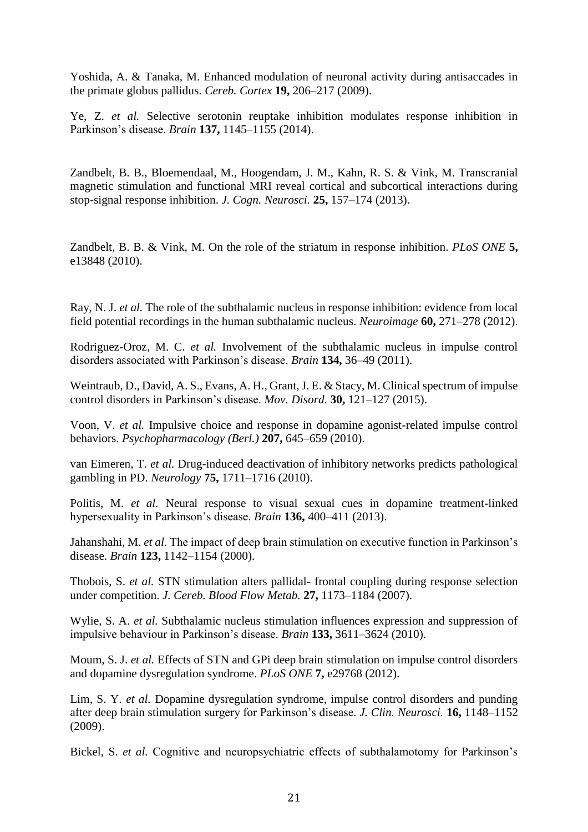Yoshida, A. & Tanaka, M. Enhanced modulation of neuronal activity during antisaccades in the primate globus pallidus. *Cereb. Cortex* **19,** 206–217 (2009).

Ye, Z. *et al.* Selective serotonin reuptake inhibition modulates response inhibition in Parkinson's disease. *Brain* **137,** 1145–1155 (2014).

Zandbelt, B. B., Bloemendaal, M., Hoogendam, J. M., Kahn, R. S. & Vink, M. Transcranial magnetic stimulation and functional MRI reveal cortical and subcortical interactions during stop-signal response inhibition. *J. Cogn. Neurosci.* **25,** 157–174 (2013).

Zandbelt, B. B. & Vink, M. On the role of the striatum in response inhibition. *PLoS ONE* **5,**  e13848 (2010).

Ray, N. J. *et al.* The role of the subthalamic nucleus in response inhibition: evidence from local field potential recordings in the human subthalamic nucleus. *Neuroimage* **60,** 271–278 (2012).

Rodriguez-Oroz, M. C. *et al.* Involvement of the subthalamic nucleus in impulse control disorders associated with Parkinson's disease. *Brain* **134,** 36–49 (2011).

Weintraub, D., David, A. S., Evans, A. H., Grant, J. E. & Stacy, M. Clinical spectrum of impulse control disorders in Parkinson's disease. *Mov. Disord.* **30,** 121–127 (2015).

Voon, V. *et al.* Impulsive choice and response in dopamine agonist-related impulse control behaviors. *Psychopharmacology (Berl.)* **207,** 645–659 (2010).

van Eimeren, T. *et al.* Drug-induced deactivation of inhibitory networks predicts pathological gambling in PD. *Neurology* **75,** 1711–1716 (2010).

Politis, M. *et al.* Neural response to visual sexual cues in dopamine treatment-linked hypersexuality in Parkinson's disease. *Brain* **136,** 400–411 (2013).

Jahanshahi, M. *et al.* The impact of deep brain stimulation on executive function in Parkinson's disease. *Brain* **123,** 1142–1154 (2000).

Thobois, S. *et al.* STN stimulation alters pallidal- frontal coupling during response selection under competition. *J. Cereb. Blood Flow Metab.* **27,** 1173–1184 (2007).

Wylie, S. A. *et al.* Subthalamic nucleus stimulation influences expression and suppression of impulsive behaviour in Parkinson's disease. *Brain* **133,** 3611–3624 (2010).

Moum, S. J. *et al.* Effects of STN and GPi deep brain stimulation on impulse control disorders and dopamine dysregulation syndrome. *PLoS ONE* **7,** e29768 (2012).

Lim, S. Y. *et al.* Dopamine dysregulation syndrome, impulse control disorders and punding after deep brain stimulation surgery for Parkinson's disease. *J. Clin. Neurosci.* **16,** 1148–1152 (2009).

Bickel, S. *et al.* Cognitive and neuropsychiatric effects of subthalamotomy for Parkinson's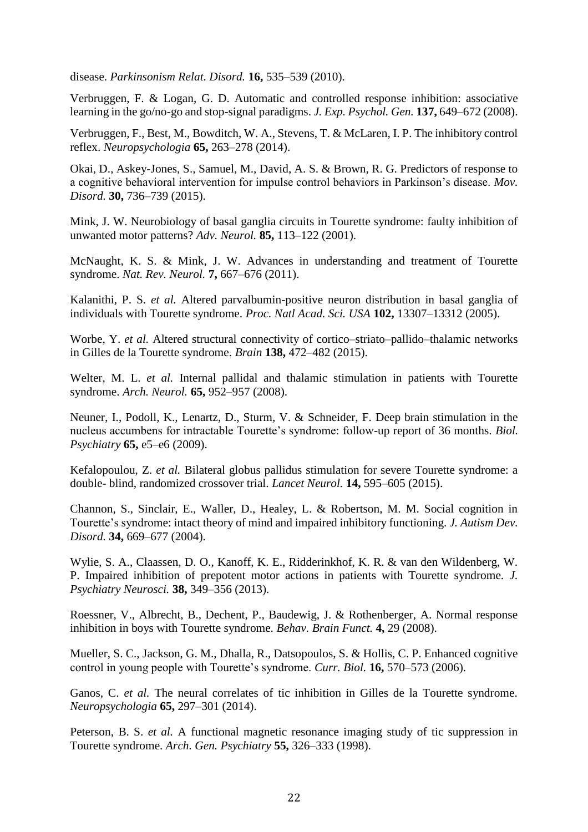disease. *Parkinsonism Relat. Disord.* **16,** 535–539 (2010).

Verbruggen, F. & Logan, G. D. Automatic and controlled response inhibition: associative learning in the go/no-go and stop-signal paradigms. *J. Exp. Psychol. Gen.* **137,** 649–672 (2008).

Verbruggen, F., Best, M., Bowditch, W. A., Stevens, T. & McLaren, I. P. The inhibitory control reflex. *Neuropsychologia* **65,** 263–278 (2014).

Okai, D., Askey-Jones, S., Samuel, M., David, A. S. & Brown, R. G. Predictors of response to a cognitive behavioral intervention for impulse control behaviors in Parkinson's disease. *Mov. Disord.* **30,** 736–739 (2015).

Mink, J. W. Neurobiology of basal ganglia circuits in Tourette syndrome: faulty inhibition of unwanted motor patterns? *Adv. Neurol.* **85,** 113–122 (2001).

McNaught, K. S. & Mink, J. W. Advances in understanding and treatment of Tourette syndrome. *Nat. Rev. Neurol.* **7,** 667–676 (2011).

Kalanithi, P. S. *et al.* Altered parvalbumin-positive neuron distribution in basal ganglia of individuals with Tourette syndrome. *Proc. Natl Acad. Sci. USA* **102,** 13307–13312 (2005).

Worbe, Y. *et al.* Altered structural connectivity of cortico–striato–pallido–thalamic networks in Gilles de la Tourette syndrome. *Brain* **138,** 472–482 (2015).

Welter, M. L. *et al.* Internal pallidal and thalamic stimulation in patients with Tourette syndrome. *Arch. Neurol.* **65,** 952–957 (2008).

Neuner, I., Podoll, K., Lenartz, D., Sturm, V. & Schneider, F. Deep brain stimulation in the nucleus accumbens for intractable Tourette's syndrome: follow-up report of 36 months. *Biol. Psychiatry* **65,** e5–e6 (2009).

Kefalopoulou, Z. *et al.* Bilateral globus pallidus stimulation for severe Tourette syndrome: a double- blind, randomized crossover trial. *Lancet Neurol.* **14,** 595–605 (2015).

Channon, S., Sinclair, E., Waller, D., Healey, L. & Robertson, M. M. Social cognition in Tourette's syndrome: intact theory of mind and impaired inhibitory functioning. *J. Autism Dev. Disord.* **34,** 669–677 (2004).

Wylie, S. A., Claassen, D. O., Kanoff, K. E., Ridderinkhof, K. R. & van den Wildenberg, W. P. Impaired inhibition of prepotent motor actions in patients with Tourette syndrome. *J. Psychiatry Neurosci.* **38,** 349–356 (2013).

Roessner, V., Albrecht, B., Dechent, P., Baudewig, J. & Rothenberger, A. Normal response inhibition in boys with Tourette syndrome. *Behav. Brain Funct.* **4,** 29 (2008).

Mueller, S. C., Jackson, G. M., Dhalla, R., Datsopoulos, S. & Hollis, C. P. Enhanced cognitive control in young people with Tourette's syndrome. *Curr. Biol.* **16,** 570–573 (2006).

Ganos, C. *et al.* The neural correlates of tic inhibition in Gilles de la Tourette syndrome. *Neuropsychologia* **65,** 297–301 (2014).

Peterson, B. S. *et al.* A functional magnetic resonance imaging study of tic suppression in Tourette syndrome. *Arch. Gen. Psychiatry* **55,** 326–333 (1998).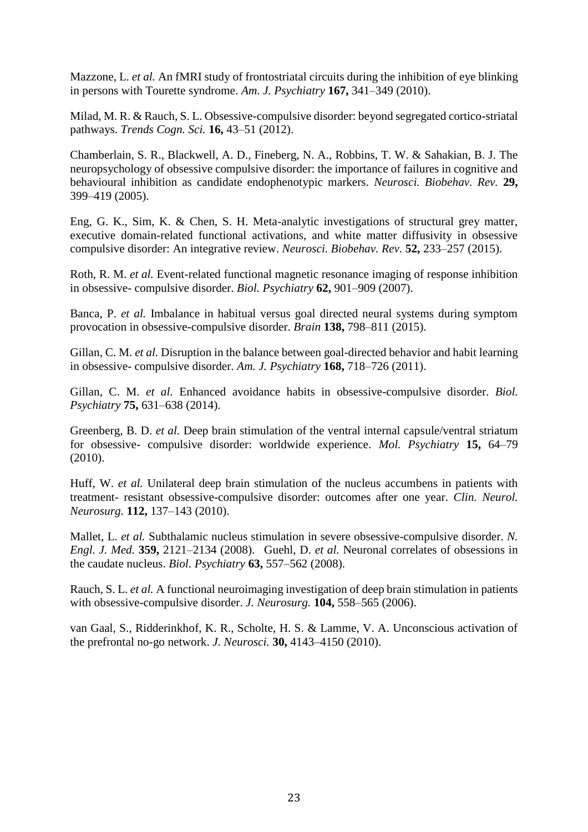Mazzone, L. *et al.* An fMRI study of frontostriatal circuits during the inhibition of eye blinking in persons with Tourette syndrome. *Am. J. Psychiatry* **167,** 341–349 (2010).

Milad, M. R. & Rauch, S. L. Obsessive-compulsive disorder: beyond segregated cortico-striatal pathways. *Trends Cogn. Sci.* **16,** 43–51 (2012).

Chamberlain, S. R., Blackwell, A. D., Fineberg, N. A., Robbins, T. W. & Sahakian, B. J. The neuropsychology of obsessive compulsive disorder: the importance of failures in cognitive and behavioural inhibition as candidate endophenotypic markers. *Neurosci. Biobehav. Rev.* **29,**  399–419 (2005).

Eng, G. K., Sim, K. & Chen, S. H. Meta-analytic investigations of structural grey matter, executive domain-related functional activations, and white matter diffusivity in obsessive compulsive disorder: An integrative review. *Neurosci. Biobehav. Rev.* **52,** 233–257 (2015).

Roth, R. M. *et al.* Event-related functional magnetic resonance imaging of response inhibition in obsessive- compulsive disorder. *Biol. Psychiatry* **62,** 901–909 (2007).

Banca, P. *et al.* Imbalance in habitual versus goal directed neural systems during symptom provocation in obsessive-compulsive disorder. *Brain* **138,** 798–811 (2015).

Gillan, C. M. *et al.* Disruption in the balance between goal-directed behavior and habit learning in obsessive- compulsive disorder. *Am. J. Psychiatry* **168,** 718–726 (2011).

Gillan, C. M. *et al.* Enhanced avoidance habits in obsessive-compulsive disorder. *Biol. Psychiatry* **75,** 631–638 (2014).

Greenberg, B. D. *et al.* Deep brain stimulation of the ventral internal capsule/ventral striatum for obsessive- compulsive disorder: worldwide experience. *Mol. Psychiatry* **15,** 64–79 (2010).

Huff, W. *et al.* Unilateral deep brain stimulation of the nucleus accumbens in patients with treatment- resistant obsessive-compulsive disorder: outcomes after one year. *Clin. Neurol. Neurosurg.* **112,** 137–143 (2010).

Mallet, L. *et al.* Subthalamic nucleus stimulation in severe obsessive-compulsive disorder. *N. Engl. J. Med.* **359,** 2121–2134 (2008). Guehl, D. *et al.* Neuronal correlates of obsessions in the caudate nucleus. *Biol. Psychiatry* **63,** 557–562 (2008).

Rauch, S. L. *et al.* A functional neuroimaging investigation of deep brain stimulation in patients with obsessive-compulsive disorder. *J. Neurosurg.* **104,** 558–565 (2006).

van Gaal, S., Ridderinkhof, K. R., Scholte, H. S. & Lamme, V. A. Unconscious activation of the prefrontal no-go network. *J. Neurosci.* **30,** 4143–4150 (2010).